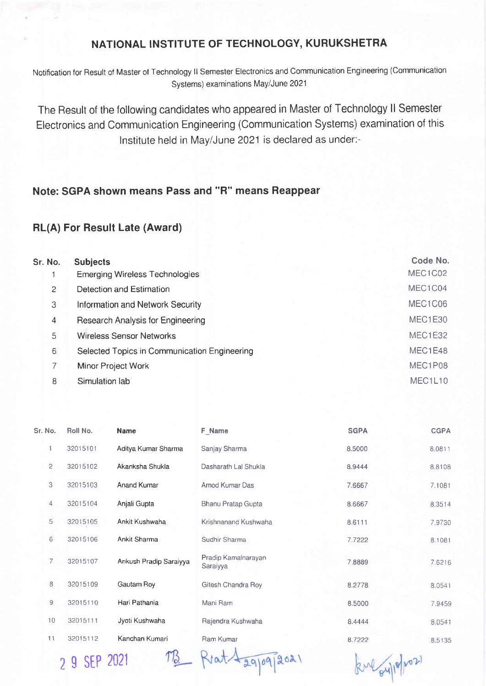## NATIONAL INSTITUTE OF TECHNOLOGY, KURUKSHETRA

Notification for Result of Master of Technology ll Semester Electronics and Communication Engineering (Communication Systems) examinations May/June 2021

The Result of the following candidates who appeared in Master of Technology ll Semester Electronics and Communication Engineering (Communication Systems) examination of this lnstitute held in May/June 2021 is declared as under:-

## Note: SGPA shown means Pass and "R" means Reappear

## RL(A) For Result Late (Award)

| Sr. No.               | <b>Subjects</b>                              | Code No. |
|-----------------------|----------------------------------------------|----------|
|                       | <b>Emerging Wireless Technologies</b>        | MEC1C02  |
| $\mathbf{2}^{\prime}$ | Detection and Estimation                     | MEC1C04  |
| 3                     | <b>Information and Network Security</b>      | MEC1C06  |
| 4                     | Research Analysis for Engineering            | MEC1E30  |
| 5                     | <b>Wireless Sensor Networks</b>              | MEC1E32  |
| 6                     | Selected Topics in Communication Engineering | MEC1E48  |
| 7                     | Minor Project Work                           | MEC1P08  |
| 8                     | Simulation lab                               | MEC1L10  |

| Sr. No.        | Roll No. | <b>Name</b>            | <b>F_Name</b>                   | <b>SGPA</b> | <b>CGPA</b> |
|----------------|----------|------------------------|---------------------------------|-------------|-------------|
| 1              | 32015101 | Aditya Kumar Sharma    | Sanjay Sharma                   | 8.5000      | 8.0811      |
| $\overline{c}$ | 32015102 | Akanksha Shukla        | Dasharath Lal Shukla            | 8.9444      | 8.8108      |
| 3              | 32015103 | <b>Anand Kumar</b>     | Amod Kumar Das                  | 7.6667      | 7.1081      |
| $\overline{4}$ | 32015104 | Anjali Gupta           | Bhanu Pratap Gupta              | 8.6667      | 8.3514      |
| 5              | 32015105 | Ankit Kushwaha         | Krishnanand Kushwaha            | 8.6111      | 7,9730      |
| 6              | 32015106 | <b>Ankit Sharma</b>    | Sudhir Sharma                   | 7.7222      | 8.1081      |
| 7              | 32015107 | Ankush Pradip Saraiyya | Pradip Kamalnarayan<br>Saraiyya | 7.8889      | 7.6216      |
| 8              | 32015109 | Gautam Roy             | Gitesh Chandra Roy              | 8.2778      | 8.0541      |
| 9              | 32015110 | Hari Pathania          | Mani Ram                        | 8.5000      | 7.9459      |
| 10             | 32015111 | Jyoti Kushwaha         | Rajendra Kushwaha               | 8.4444      | 8.0541      |
| 11             | 32015112 | Kanchan Kumari         | Ram Kumar                       | 8.7222      | 8.5135      |

2 g sEP 2021

 $-$  Riat $\sqrt{29096}$ 2021

kul oupport